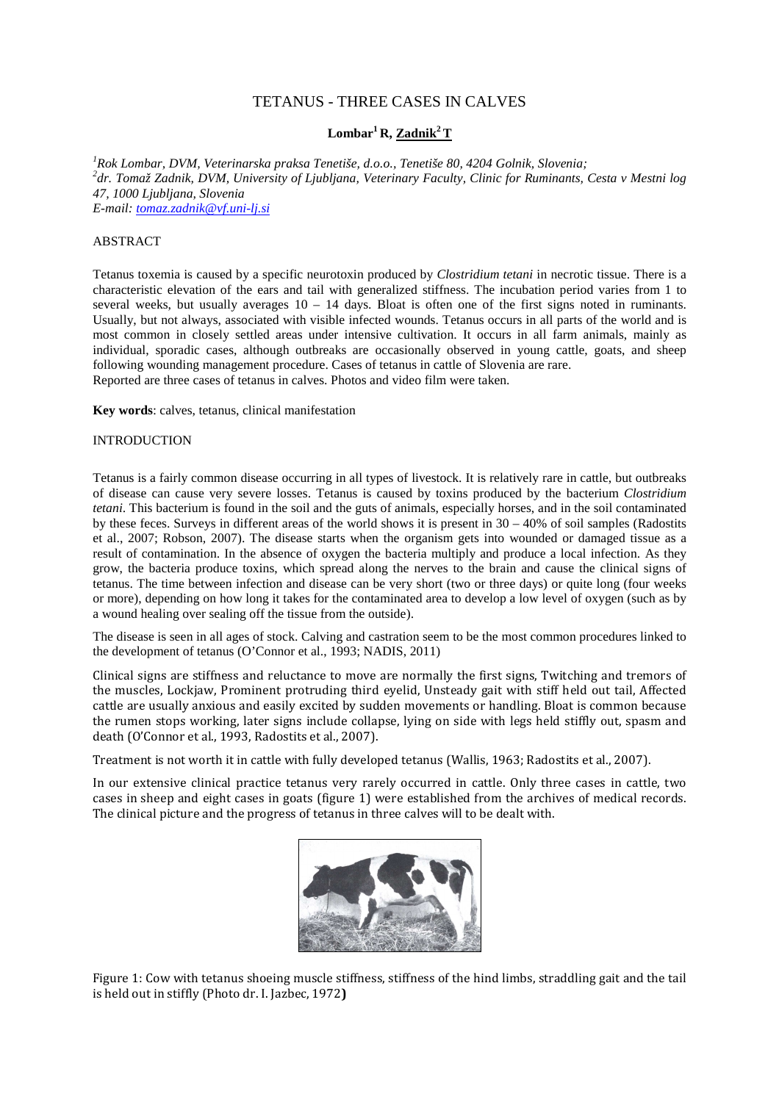# TETANUS - THREE CASES IN CALVES

## **Lombar<sup>1</sup>R, Zadnik<sup>2</sup>T**

*<sup>1</sup>Rok Lombar, DVM, Veterinarska praksa Tenetiše, d.o.o., Tenetiše 80, 4204 Golnik, Slovenia; 2 dr. Tomaž Zadnik, DVM, University of Ljubljana, Veterinary Faculty, Clinic for Ruminants, Cesta v Mestni log 47, 1000 Ljubljana, Slovenia E-mail: tomaz.zadnik@vf.uni-lj.si*

## ABSTRACT

Tetanus toxemia is caused by a specific neurotoxin produced by *Clostridium tetani* in necrotic tissue. There is a characteristic elevation of the ears and tail with generalized stiffness. The incubation period varies from 1 to several weeks, but usually averages  $10 - 14$  days. Bloat is often one of the first signs noted in ruminants. Usually, but not always, associated with visible infected wounds. Tetanus occurs in all parts of the world and is most common in closely settled areas under intensive cultivation. It occurs in all farm animals, mainly as individual, sporadic cases, although outbreaks are occasionally observed in young cattle, goats, and sheep following wounding management procedure. Cases of tetanus in cattle of Slovenia are rare. Reported are three cases of tetanus in calves. Photos and video film were taken.

**Key words**: calves, tetanus, clinical manifestation

#### INTRODUCTION

Tetanus is a fairly common disease occurring in all types of livestock. It is relatively rare in cattle, but outbreaks of disease can cause very severe losses. Tetanus is caused by toxins produced by the bacterium *Clostridium tetani*. This bacterium is found in the soil and the guts of animals, especially horses, and in the soil contaminated by these feces. Surveys in different areas of the world shows it is present in  $30 - 40\%$  of soil samples (Radostits et al., 2007; Robson*,* 2007). The disease starts when the organism gets into wounded or damaged tissue as a result of contamination. In the absence of oxygen the bacteria multiply and produce a local infection. As they grow, the bacteria produce toxins, which spread along the nerves to the brain and cause the clinical signs of tetanus. The time between infection and disease can be very short (two or three days) or quite long (four weeks or more), depending on how long it takes for the contaminated area to develop a low level of oxygen (such as by a wound healing over sealing off the tissue from the outside).

The disease is seen in all ages of stock. Calving and castration seem to be the most common procedures linked to the development of tetanus (O'Connor et al., 1993; NADIS, 2011)

Clinical signs are stiffness and reluctance to move are normally the first signs, Twitching and tremors of the muscles, Lockjaw, Prominent protruding third eyelid, Unsteady gait with stiff held out tail, Affected cattle are usually anxious and easily excited by sudden movements or handling. Bloat is common because the rumen stops working, later signs include collapse, lying on side with legs held stiffly out, spasm and death (O'Connor et al., 1993, Radostits et al., 2007).

Treatment is not worth it in cattle with fully developed tetanus (Wallis, 1963; Radostits et al., 2007).

In our extensive clinical practice tetanus very rarely occurred in cattle. Only three cases in cattle, two cases in sheep and eight cases in goats (figure 1) were established from the archives of medical records. The clinical picture and the progress of tetanus in three calves will to be dealt with.



Figure 1: Cow with tetanus shoeing muscle stiffness, stiffness of the hind limbs, straddling gait and the tail is held out in stiffly (Photo dr. I. Jazbec, 1972)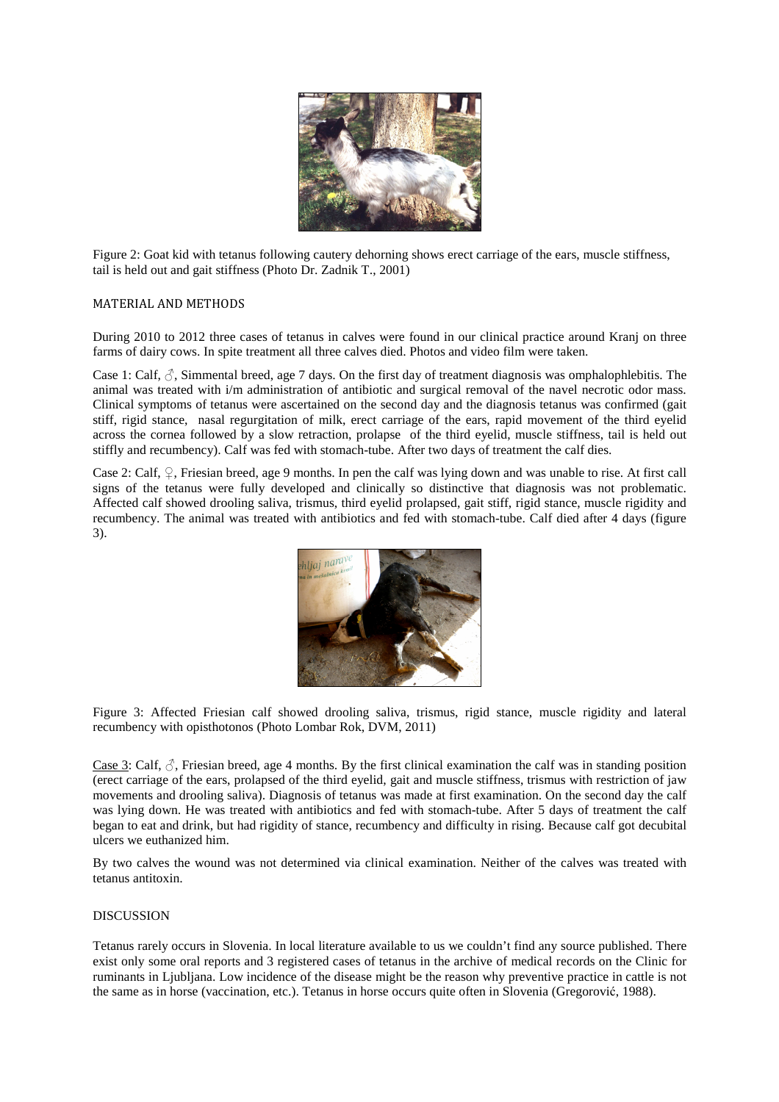

Figure 2: Goat kid with tetanus following cautery dehorning shows erect carriage of the ears, muscle stiffness, tail is held out and gait stiffness (Photo Dr. Zadnik T., 2001)

### MATERIAL AND METHODS

During 2010 to 2012 three cases of tetanus in calves were found in our clinical practice around Kranj on three farms of dairy cows. In spite treatment all three calves died. Photos and video film were taken.

Case 1: Calf,  $\zeta$ , Simmental breed, age 7 days. On the first day of treatment diagnosis was omphalophlebitis. The animal was treated with i/m administration of antibiotic and surgical removal of the navel necrotic odor mass. Clinical symptoms of tetanus were ascertained on the second day and the diagnosis tetanus was confirmed (gait stiff, rigid stance, nasal regurgitation of milk, erect carriage of the ears, rapid movement of the third eyelid across the cornea followed by a slow retraction, prolapse of the third eyelid, muscle stiffness, tail is held out stiffly and recumbency). Calf was fed with stomach-tube. After two days of treatment the calf dies.

Case 2: Calf,  $\varphi$ , Friesian breed, age 9 months. In pen the calf was lying down and was unable to rise. At first call signs of the tetanus were fully developed and clinically so distinctive that diagnosis was not problematic. Affected calf showed drooling saliva, trismus, third eyelid prolapsed, gait stiff, rigid stance, muscle rigidity and recumbency. The animal was treated with antibiotics and fed with stomach-tube. Calf died after 4 days (figure 3).



Figure 3: Affected Friesian calf showed drooling saliva, trismus, rigid stance, muscle rigidity and lateral recumbency with opisthotonos (Photo Lombar Rok, DVM, 2011)

Case 3: Calf,  $\zeta$ , Friesian breed, age 4 months. By the first clinical examination the calf was in standing position (erect carriage of the ears, prolapsed of the third eyelid, gait and muscle stiffness, trismus with restriction of jaw movements and drooling saliva). Diagnosis of tetanus was made at first examination. On the second day the calf was lying down. He was treated with antibiotics and fed with stomach-tube. After 5 days of treatment the calf began to eat and drink, but had rigidity of stance, recumbency and difficulty in rising. Because calf got decubital ulcers we euthanized him.

By two calves the wound was not determined via clinical examination. Neither of the calves was treated with tetanus antitoxin.

#### DISCUSSION

Tetanus rarely occurs in Slovenia. In local literature available to us we couldn't find any source published. There exist only some oral reports and 3 registered cases of tetanus in the archive of medical records on the Clinic for ruminants in Ljubljana. Low incidence of the disease might be the reason why preventive practice in cattle is not the same as in horse (vaccination, etc.). Tetanus in horse occurs quite often in Slovenia (Gregorović, 1988).